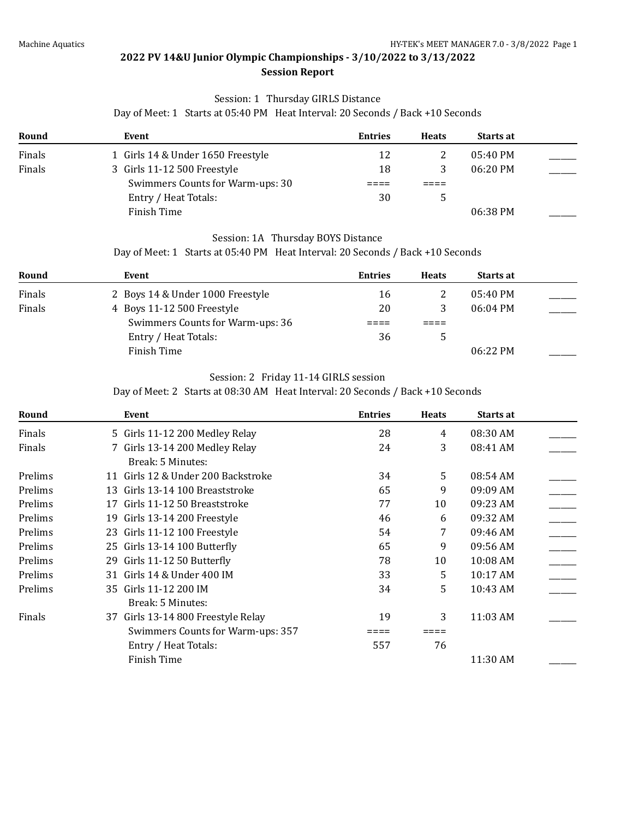## Session: 1 Thursday GIRLS Distance

Day of Meet: 1 Starts at 05:40 PM Heat Interval: 20 Seconds / Back +10 Seconds

| Round  | Event                             | <b>Entries</b> | <b>Heats</b> | <b>Starts at</b>   |  |
|--------|-----------------------------------|----------------|--------------|--------------------|--|
| Finals | 1 Girls 14 & Under 1650 Freestyle | 12             |              | $05:40$ PM         |  |
| Finals | 3 Girls 11-12 500 Freestyle       | 18             |              | $06:20 \text{ PM}$ |  |
|        | Swimmers Counts for Warm-ups: 30  |                |              |                    |  |
|        | Entry / Heat Totals:              | 30             |              |                    |  |
|        | Finish Time                       |                |              | 06:38 PM           |  |

#### Session: 1A Thursday BOYS Distance

Day of Meet: 1 Starts at 05:40 PM Heat Interval: 20 Seconds / Back +10 Seconds

| Round  | Event                            | <b>Entries</b> | <b>Heats</b> | <b>Starts at</b>   |  |
|--------|----------------------------------|----------------|--------------|--------------------|--|
| Finals | 2 Boys 14 & Under 1000 Freestyle | 16             |              | $05:40 \text{ PM}$ |  |
| Finals | 4 Boys 11-12 500 Freestyle       | 20             |              | $06:04 \text{ PM}$ |  |
|        | Swimmers Counts for Warm-ups: 36 |                |              |                    |  |
|        | Entry / Heat Totals:             | 36             |              |                    |  |
|        | Finish Time                      |                |              | 06:22 PM           |  |

#### Session: 2 Friday 11-14 GIRLS session

Day of Meet: 2 Starts at 08:30 AM Heat Interval: 20 Seconds / Back +10 Seconds

| Round   |    | Event                              | <b>Entries</b> | <b>Heats</b> | Starts at |  |
|---------|----|------------------------------------|----------------|--------------|-----------|--|
| Finals  |    | 5 Girls 11-12 200 Medley Relay     | 28             | 4            | 08:30 AM  |  |
| Finals  |    | 7 Girls 13-14 200 Medley Relay     | 24             | 3            | 08:41 AM  |  |
|         |    | Break: 5 Minutes:                  |                |              |           |  |
| Prelims |    | 11 Girls 12 & Under 200 Backstroke | 34             | 5.           | 08:54 AM  |  |
| Prelims |    | 13 Girls 13-14 100 Breaststroke    | 65             | 9            | 09:09 AM  |  |
| Prelims | 17 | Girls 11-12 50 Breaststroke        | 77             | 10           | 09:23 AM  |  |
| Prelims |    | 19 Girls 13-14 200 Freestyle       | 46             | 6            | 09:32 AM  |  |
| Prelims |    | 23 Girls 11-12 100 Freestyle       | 54             | 7            | 09:46 AM  |  |
| Prelims |    | 25 Girls 13-14 100 Butterfly       | 65             | 9            | 09:56 AM  |  |
| Prelims |    | 29 Girls 11-12 50 Butterfly        | 78             | 10           | 10:08 AM  |  |
| Prelims |    | 31 Girls 14 & Under 400 IM         | 33             | 5            | 10:17 AM  |  |
| Prelims |    | 35 Girls 11-12 200 IM              | 34             | 5            | 10:43 AM  |  |
|         |    | Break: 5 Minutes:                  |                |              |           |  |
| Finals  |    | 37 Girls 13-14 800 Freestyle Relay | 19             | 3            | 11:03 AM  |  |
|         |    | Swimmers Counts for Warm-ups: 357  |                |              |           |  |
|         |    | Entry / Heat Totals:               | 557            | 76           |           |  |
|         |    | Finish Time                        |                |              | 11:30 AM  |  |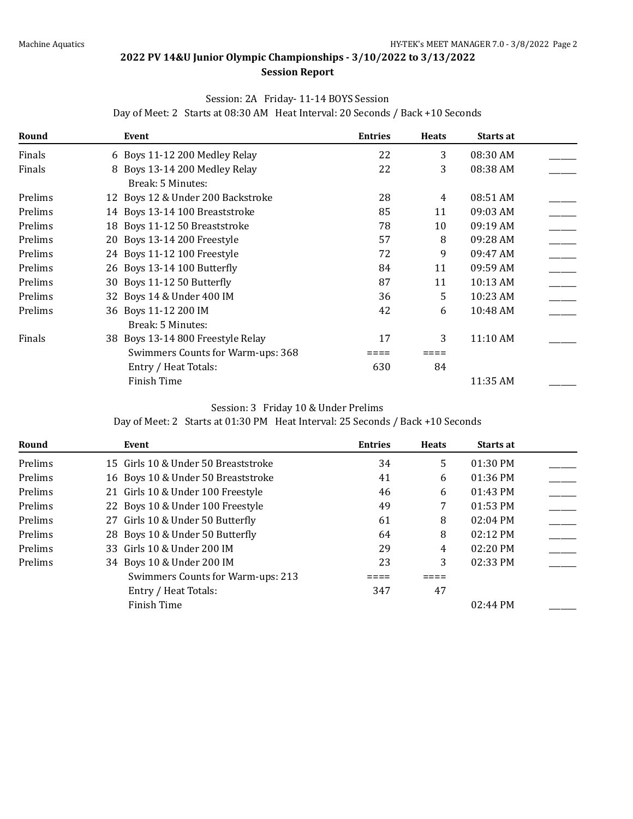### Session: 2A Friday- 11-14 BOYS Session

| Round   | Event                             | <b>Entries</b> | <b>Heats</b> | Starts at |  |
|---------|-----------------------------------|----------------|--------------|-----------|--|
| Finals  | 6 Boys 11-12 200 Medley Relay     | 22             | 3            | 08:30 AM  |  |
| Finals  | 8 Boys 13-14 200 Medley Relay     | 22             | 3            | 08:38 AM  |  |
|         | Break: 5 Minutes:                 |                |              |           |  |
| Prelims | 12 Boys 12 & Under 200 Backstroke | 28             | 4            | 08:51 AM  |  |
| Prelims | 14 Boys 13-14 100 Breaststroke    | 85             | 11           | 09:03 AM  |  |
| Prelims | 18 Boys 11-12 50 Breaststroke     | 78             | 10           | 09:19 AM  |  |
| Prelims | 20 Boys 13-14 200 Freestyle       | 57             | 8            | 09:28 AM  |  |
| Prelims | 24 Boys 11-12 100 Freestyle       | 72             | 9            | 09:47 AM  |  |
| Prelims | 26 Boys 13-14 100 Butterfly       | 84             | 11           | 09:59 AM  |  |
| Prelims | 30 Boys 11-12 50 Butterfly        | 87             | 11           | 10:13 AM  |  |
| Prelims | 32 Boys 14 & Under 400 IM         | 36             | 5            | 10:23 AM  |  |
| Prelims | 36 Boys 11-12 200 IM              | 42             | 6            | 10:48 AM  |  |
|         | Break: 5 Minutes:                 |                |              |           |  |
| Finals  | 38 Boys 13-14 800 Freestyle Relay | 17             | 3            | 11:10 AM  |  |
|         | Swimmers Counts for Warm-ups: 368 |                |              |           |  |
|         | Entry / Heat Totals:              | 630            | 84           |           |  |
|         | <b>Finish Time</b>                |                |              | 11:35 AM  |  |

Day of Meet: 2 Starts at 08:30 AM Heat Interval: 20 Seconds / Back +10 Seconds

#### Session: 3 Friday 10 & Under Prelims

Day of Meet: 2 Starts at 01:30 PM Heat Interval: 25 Seconds / Back +10 Seconds

| Round   | Event                               | <b>Entries</b> | <b>Heats</b> | <b>Starts at</b>   |  |
|---------|-------------------------------------|----------------|--------------|--------------------|--|
| Prelims | 15 Girls 10 & Under 50 Breaststroke | 34             | 5            | $01:30$ PM         |  |
| Prelims | 16 Boys 10 & Under 50 Breaststroke  | 41             | 6            | $01:36$ PM         |  |
| Prelims | 21 Girls 10 & Under 100 Freestyle   | 46             | 6            | $01:43$ PM         |  |
| Prelims | 22 Boys 10 & Under 100 Freestyle    | 49             | 7            | $01:53$ PM         |  |
| Prelims | 27 Girls 10 & Under 50 Butterfly    | 61             | 8            | $02:04$ PM         |  |
| Prelims | 28 Boys 10 & Under 50 Butterfly     | 64             | 8            | $02:12 \text{ PM}$ |  |
| Prelims | 33 Girls 10 & Under 200 IM          | 29             | 4            | $02:20$ PM         |  |
| Prelims | 34 Boys 10 & Under 200 IM           | 23             | 3            | $02:33$ PM         |  |
|         | Swimmers Counts for Warm-ups: 213   |                |              |                    |  |
|         | Entry / Heat Totals:                | 347            | 47           |                    |  |
|         | Finish Time                         |                |              | $02:44 \text{ PM}$ |  |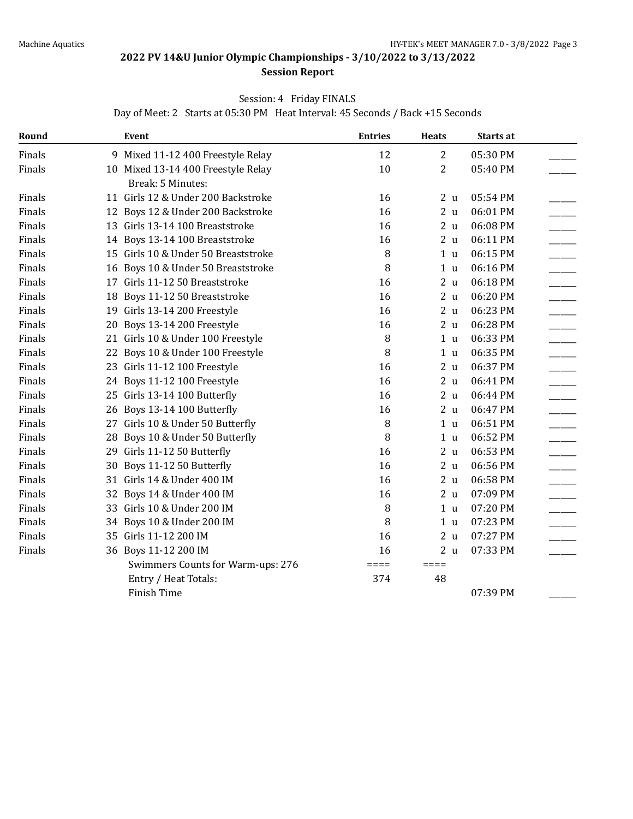## **Session Report**

### Session: 4 Friday FINALS

Day of Meet: 2 Starts at 05:30 PM Heat Interval: 45 Seconds / Back +15 Seconds

| Round  |    | Event                               | <b>Entries</b>  | <b>Heats</b>    | Starts at |  |
|--------|----|-------------------------------------|-----------------|-----------------|-----------|--|
| Finals | 9  | Mixed 11-12 400 Freestyle Relay     | 12              | $\mathbf{2}$    | 05:30 PM  |  |
| Finals |    | 10 Mixed 13-14 400 Freestyle Relay  | 10              | $\overline{2}$  | 05:40 PM  |  |
|        |    | Break: 5 Minutes:                   |                 |                 |           |  |
| Finals |    | 11 Girls 12 & Under 200 Backstroke  | 16              | 2 <sub>u</sub>  | 05:54 PM  |  |
| Finals |    | 12 Boys 12 & Under 200 Backstroke   | 16              | 2 <sub>u</sub>  | 06:01 PM  |  |
| Finals |    | 13 Girls 13-14 100 Breaststroke     | 16              | 2 <sub>u</sub>  | 06:08 PM  |  |
| Finals | 14 | Boys 13-14 100 Breaststroke         | 16              | 2 <sub>u</sub>  | 06:11 PM  |  |
| Finals |    | 15 Girls 10 & Under 50 Breaststroke | 8               | 1 <sub>u</sub>  | 06:15 PM  |  |
| Finals | 16 | Boys 10 & Under 50 Breaststroke     | 8               | 1 <sub>u</sub>  | 06:16 PM  |  |
| Finals |    | 17 Girls 11-12 50 Breaststroke      | 16              | 2 <sub>u</sub>  | 06:18 PM  |  |
| Finals | 18 | Boys 11-12 50 Breaststroke          | 16              | 2 <sub>u</sub>  | 06:20 PM  |  |
| Finals |    | 19 Girls 13-14 200 Freestyle        | 16              | 2 <sub>u</sub>  | 06:23 PM  |  |
| Finals | 20 | Boys 13-14 200 Freestyle            | 16              | 2 <sub>u</sub>  | 06:28 PM  |  |
| Finals |    | 21 Girls 10 & Under 100 Freestyle   | 8               | 1 <sub>u</sub>  | 06:33 PM  |  |
| Finals |    | 22 Boys 10 & Under 100 Freestyle    | 8               | 1 <sub>u</sub>  | 06:35 PM  |  |
| Finals |    | 23 Girls 11-12 100 Freestyle        | 16              | 2 <sub>u</sub>  | 06:37 PM  |  |
| Finals |    | 24 Boys 11-12 100 Freestyle         | 16              | 2 <sub>u</sub>  | 06:41 PM  |  |
| Finals |    | 25 Girls 13-14 100 Butterfly        | 16              | 2 <sub>u</sub>  | 06:44 PM  |  |
| Finals |    | 26 Boys 13-14 100 Butterfly         | 16              | 2 <sub>u</sub>  | 06:47 PM  |  |
| Finals |    | 27 Girls 10 & Under 50 Butterfly    | 8               | 1 <sub>u</sub>  | 06:51 PM  |  |
| Finals | 28 | Boys 10 & Under 50 Butterfly        | 8               | 1 <sub>u</sub>  | 06:52 PM  |  |
| Finals |    | 29 Girls 11-12 50 Butterfly         | 16              | 2 <sub>u</sub>  | 06:53 PM  |  |
| Finals | 30 | Boys 11-12 50 Butterfly             | 16              | 2 <sub>u</sub>  | 06:56 PM  |  |
| Finals |    | 31 Girls 14 & Under 400 IM          | 16              | 2 <sub>u</sub>  | 06:58 PM  |  |
| Finals | 32 | Boys 14 & Under 400 IM              | 16              | 2u              | 07:09 PM  |  |
| Finals |    | 33 Girls 10 & Under 200 IM          | 8               | 1 <sub>u</sub>  | 07:20 PM  |  |
| Finals |    | 34 Boys 10 & Under 200 IM           | 8               | 1 <sub>u</sub>  | 07:23 PM  |  |
| Finals |    | 35 Girls 11-12 200 IM               | 16              | 2 <sub>u</sub>  | 07:27 PM  |  |
| Finals |    | 36 Boys 11-12 200 IM                | 16              | 2 <sub>u</sub>  | 07:33 PM  |  |
|        |    | Swimmers Counts for Warm-ups: 276   | $=$ $=$ $=$ $=$ | $=$ $=$ $=$ $=$ |           |  |
|        |    | Entry / Heat Totals:                | 374             | 48              |           |  |
|        |    | Finish Time                         |                 |                 | 07:39 PM  |  |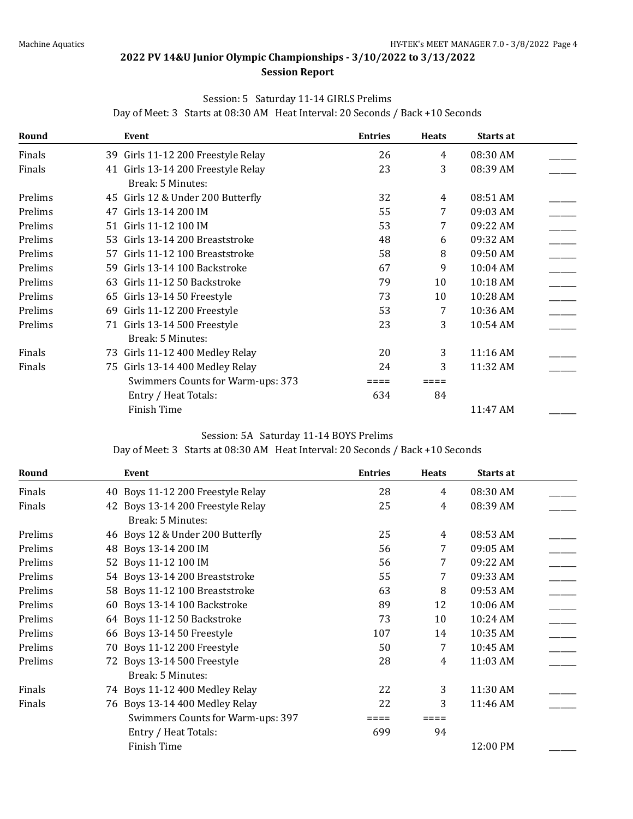## **Session Report**

#### Session: 5 Saturday 11-14 GIRLS Prelims

**Round Event Entries Heats Starts at** Finals 39 Girls 11-12 200 Freestyle Relay 26 4 08:30 AM Finals 41 Girls 13-14 200 Freestyle Relay 23 3 08:39 AM \_\_\_\_\_\_\_ Break: 5 Minutes: Prelims 45 Girls 12 & Under 200 Butterfly 32 4 08:51 AM Prelims 47 Girls 13-14 200 IM 55 7 09:03 AM Prelims 51 Girls 11-12 100 IM 53 53 59:22 AM  $\qquad \qquad$ Prelims 53 Girls 13-14 200 Breaststroke 48 6 09:32 AM \_\_\_\_\_ Prelims 57 Girls 11-12 100 Breaststroke 58 58 8 09:50 AM Prelims 59 Girls 13-14 100 Backstroke 67 69 10:04 AM \_\_\_\_\_ Prelims 63 Girls 11-12 50 Backstroke 79 10 10:18 AM \_\_\_\_\_ Prelims 65 Girls 13-14 50 Freestyle 65 73 10 10:28 AM  $\qquad \qquad$ Prelims 69 Girls 11-12 200 Freestyle 53 7 10:36 AM Prelims 71 Girls 13-14 500 Freestyle 23 3 10:54 AM \_\_\_\_ Break: 5 Minutes: Finals 73 Girls 11-12 400 Medley Relay 20 3 11:16 AM Finals 24 3 11:32 AM  $\overline{24}$  3 11:32 AM Swimmers Counts for Warm-ups:  $373$   $\qquad \qquad == \qquad \qquad == \qquad$ Entry / Heat Totals: 634 84 Finish Time 2011.47 AM 2012.2013

#### Day of Meet: 3 Starts at 08:30 AM Heat Interval: 20 Seconds / Back +10 Seconds

#### Session: 5A Saturday 11-14 BOYS Prelims

Day of Meet: 3 Starts at 08:30 AM Heat Interval: 20 Seconds / Back +10 Seconds

| Round   | Event                             | <b>Entries</b> | <b>Heats</b> | Starts at |  |
|---------|-----------------------------------|----------------|--------------|-----------|--|
| Finals  | 40 Boys 11-12 200 Freestyle Relay | 28             | 4            | 08:30 AM  |  |
| Finals  | 42 Boys 13-14 200 Freestyle Relay | 25             | 4            | 08:39 AM  |  |
|         | Break: 5 Minutes:                 |                |              |           |  |
| Prelims | 46 Boys 12 & Under 200 Butterfly  | 25             | 4            | 08:53 AM  |  |
| Prelims | 48 Boys 13-14 200 IM              | 56             | 7            | 09:05 AM  |  |
| Prelims | 52 Boys 11-12 100 IM              | 56             | 7            | 09:22 AM  |  |
| Prelims | 54 Boys 13-14 200 Breaststroke    | 55             | 7            | 09:33 AM  |  |
| Prelims | 58 Boys 11-12 100 Breaststroke    | 63             | 8            | 09:53 AM  |  |
| Prelims | 60 Boys 13-14 100 Backstroke      | 89             | 12           | 10:06 AM  |  |
| Prelims | 64 Boys 11-12 50 Backstroke       | 73             | 10           | 10:24 AM  |  |
| Prelims | 66 Boys 13-14 50 Freestyle        | 107            | 14           | 10:35 AM  |  |
| Prelims | 70 Boys 11-12 200 Freestyle       | 50             | 7            | 10:45 AM  |  |
| Prelims | 72 Boys 13-14 500 Freestyle       | 28             | 4            | 11:03 AM  |  |
|         | Break: 5 Minutes:                 |                |              |           |  |
| Finals  | 74 Boys 11-12 400 Medley Relay    | 22             | 3            | 11:30 AM  |  |
| Finals  | 76 Boys 13-14 400 Medley Relay    | 22             | 3            | 11:46 AM  |  |
|         | Swimmers Counts for Warm-ups: 397 |                |              |           |  |
|         | Entry / Heat Totals:              | 699            | 94           |           |  |
|         | Finish Time                       |                |              | 12:00 PM  |  |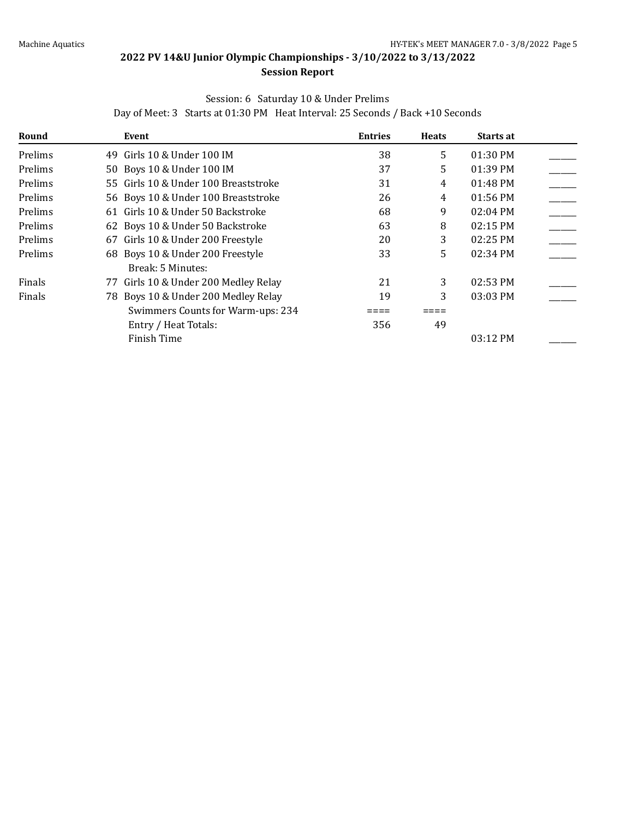## Session: 6 Saturday 10 & Under Prelims

Day of Meet: 3 Starts at 01:30 PM Heat Interval: 25 Seconds / Back +10 Seconds

| Round   | Event                                | <b>Entries</b> | <b>Heats</b> | Starts at  |  |
|---------|--------------------------------------|----------------|--------------|------------|--|
| Prelims | Girls 10 & Under 100 IM<br>49        | 38             | 5            | 01:30 PM   |  |
| Prelims | 50 Boys 10 & Under 100 IM            | 37             | 5.           | $01:39$ PM |  |
| Prelims | 55 Girls 10 & Under 100 Breaststroke | 31             | 4            | 01:48 PM   |  |
| Prelims | 56 Boys 10 & Under 100 Breaststroke  | 26             | 4            | 01:56 PM   |  |
| Prelims | 61 Girls 10 & Under 50 Backstroke    | 68             | 9            | 02:04 PM   |  |
| Prelims | 62 Boys 10 & Under 50 Backstroke     | 63             | 8            | 02:15 PM   |  |
| Prelims | 67 Girls 10 & Under 200 Freestyle    | 20             | 3            | $02:25$ PM |  |
| Prelims | 68 Boys 10 & Under 200 Freestyle     | 33             | 5.           | 02:34 PM   |  |
|         | Break: 5 Minutes:                    |                |              |            |  |
| Finals  | 77 Girls 10 & Under 200 Medley Relay | 21             | 3            | 02:53 PM   |  |
| Finals  | 78 Boys 10 & Under 200 Medley Relay  | 19             | 3            | 03:03 PM   |  |
|         | Swimmers Counts for Warm-ups: 234    |                |              |            |  |
|         | Entry / Heat Totals:                 | 356            | 49           |            |  |
|         | Finish Time                          |                |              | 03:12 PM   |  |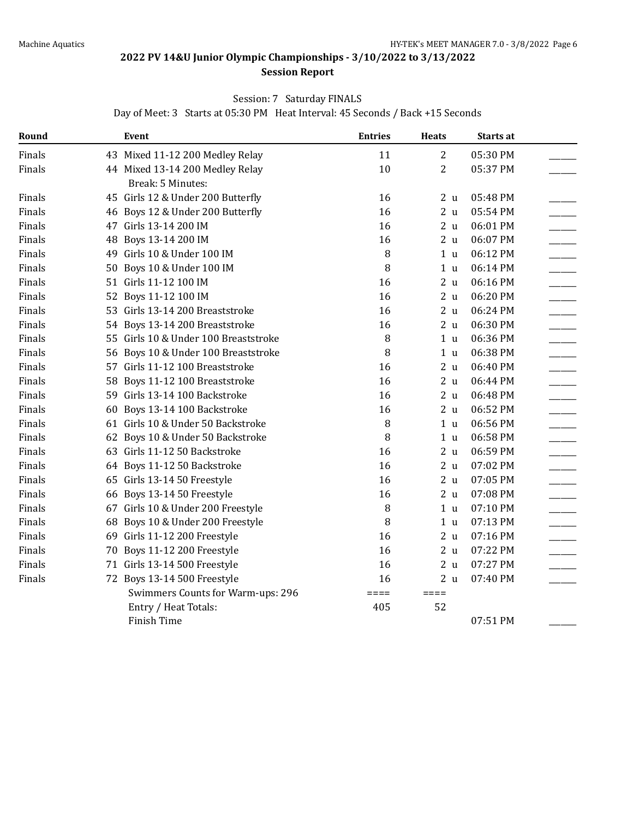#### **Session Report**

## Session: 7 Saturday FINALS

Day of Meet: 3 Starts at 05:30 PM Heat Interval: 45 Seconds / Back +15 Seconds

| Round  |    | <b>Event</b>                         | <b>Entries</b>  | <b>Heats</b>    | Starts at |
|--------|----|--------------------------------------|-----------------|-----------------|-----------|
| Finals |    | 43 Mixed 11-12 200 Medley Relay      | 11              | $\overline{2}$  | 05:30 PM  |
| Finals |    | 44 Mixed 13-14 200 Medley Relay      | 10              | $\overline{2}$  | 05:37 PM  |
|        |    | Break: 5 Minutes:                    |                 |                 |           |
| Finals |    | 45 Girls 12 & Under 200 Butterfly    | 16              | 2 <sub>u</sub>  | 05:48 PM  |
| Finals |    | 46 Boys 12 & Under 200 Butterfly     | 16              | 2 <sub>u</sub>  | 05:54 PM  |
| Finals |    | 47 Girls 13-14 200 IM                | 16              | 2 <sub>u</sub>  | 06:01 PM  |
| Finals | 48 | Boys 13-14 200 IM                    | 16              | 2 <sub>u</sub>  | 06:07 PM  |
| Finals |    | 49 Girls 10 & Under 100 IM           | 8               | 1 <sub>u</sub>  | 06:12 PM  |
| Finals |    | 50 Boys 10 & Under 100 IM            | 8               | 1 <sub>u</sub>  | 06:14 PM  |
| Finals |    | 51 Girls 11-12 100 IM                | 16              | 2 <sub>u</sub>  | 06:16 PM  |
| Finals |    | 52 Boys 11-12 100 IM                 | 16              | 2 <sub>u</sub>  | 06:20 PM  |
| Finals |    | 53 Girls 13-14 200 Breaststroke      | 16              | 2 <sub>u</sub>  | 06:24 PM  |
| Finals |    | 54 Boys 13-14 200 Breaststroke       | 16              | 2u              | 06:30 PM  |
| Finals |    | 55 Girls 10 & Under 100 Breaststroke | 8               | 1 <sub>u</sub>  | 06:36 PM  |
| Finals |    | 56 Boys 10 & Under 100 Breaststroke  | 8               | 1 <sub>u</sub>  | 06:38 PM  |
| Finals |    | 57 Girls 11-12 100 Breaststroke      | 16              | 2 <sub>u</sub>  | 06:40 PM  |
| Finals |    | 58 Boys 11-12 100 Breaststroke       | 16              | 2 <sub>u</sub>  | 06:44 PM  |
| Finals |    | 59 Girls 13-14 100 Backstroke        | 16              | 2u              | 06:48 PM  |
| Finals | 60 | Boys 13-14 100 Backstroke            | 16              | 2 <sub>u</sub>  | 06:52 PM  |
| Finals |    | 61 Girls 10 & Under 50 Backstroke    | 8               | 1 <sub>u</sub>  | 06:56 PM  |
| Finals |    | 62 Boys 10 & Under 50 Backstroke     | 8               | 1 <sub>u</sub>  | 06:58 PM  |
| Finals |    | 63 Girls 11-12 50 Backstroke         | 16              | 2 <sub>u</sub>  | 06:59 PM  |
| Finals |    | 64 Boys 11-12 50 Backstroke          | 16              | 2 <sub>u</sub>  | 07:02 PM  |
| Finals |    | 65 Girls 13-14 50 Freestyle          | 16              | 2 <sub>u</sub>  | 07:05 PM  |
| Finals |    | 66 Boys 13-14 50 Freestyle           | 16              | 2 <sub>u</sub>  | 07:08 PM  |
| Finals |    | 67 Girls 10 & Under 200 Freestyle    | 8               | 1 <sub>u</sub>  | 07:10 PM  |
| Finals | 68 | Boys 10 & Under 200 Freestyle        | 8               | 1 <sub>u</sub>  | 07:13 PM  |
| Finals |    | 69 Girls 11-12 200 Freestyle         | 16              | 2 <sub>u</sub>  | 07:16 PM  |
| Finals |    | 70 Boys 11-12 200 Freestyle          | 16              | 2u              | 07:22 PM  |
| Finals |    | 71 Girls 13-14 500 Freestyle         | 16              | 2 <sub>u</sub>  | 07:27 PM  |
| Finals |    | 72 Boys 13-14 500 Freestyle          | 16              | 2 <sub>u</sub>  | 07:40 PM  |
|        |    | Swimmers Counts for Warm-ups: 296    | $=$ $=$ $=$ $=$ | $=$ $=$ $=$ $=$ |           |
|        |    | Entry / Heat Totals:                 | 405             | 52              |           |
|        |    | Finish Time                          |                 |                 | 07:51 PM  |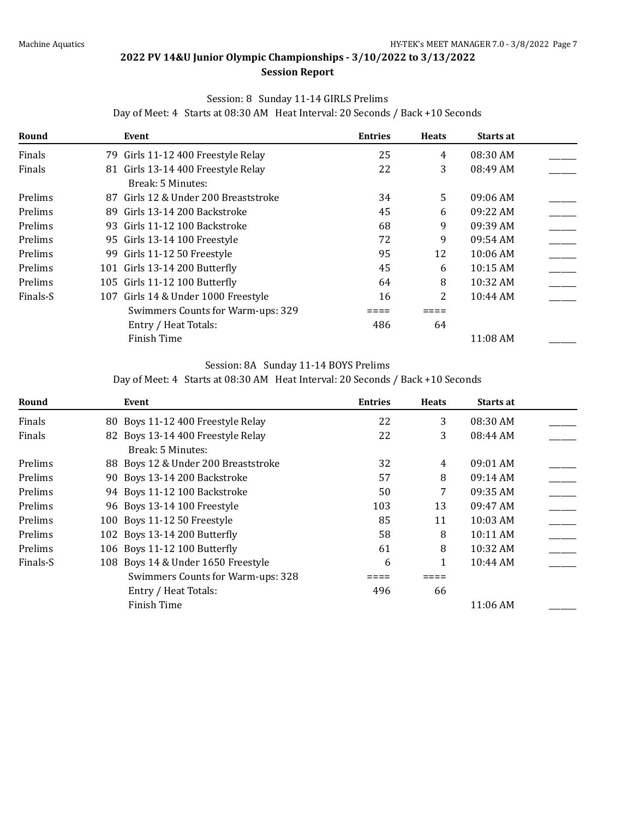### Session: 8 Sunday 11-14 GIRLS Prelims

| Round    | Event                                | <b>Entries</b> | <b>Heats</b> | <b>Starts at</b> |  |
|----------|--------------------------------------|----------------|--------------|------------------|--|
| Finals   | 79 Girls 11-12 400 Freestyle Relay   | 25             | 4            | 08:30 AM         |  |
| Finals   | 81 Girls 13-14 400 Freestyle Relay   | 22             | 3            | 08:49 AM         |  |
|          | Break: 5 Minutes:                    |                |              |                  |  |
| Prelims  | 87 Girls 12 & Under 200 Breaststroke | 34             | 5.           | $09:06$ AM       |  |
| Prelims  | 89 Girls 13-14 200 Backstroke        | 45             | 6            | 09:22 AM         |  |
| Prelims  | 93 Girls 11-12 100 Backstroke        | 68             | 9            | 09:39 AM         |  |
| Prelims  | 95 Girls 13-14 100 Freestyle         | 72             | 9            | 09:54 AM         |  |
| Prelims  | 99 Girls 11-12 50 Freestyle          | 95             | 12           | 10:06 AM         |  |
| Prelims  | 101 Girls 13-14 200 Butterfly        | 45             | 6            | 10:15 AM         |  |
| Prelims  | 105 Girls 11-12 100 Butterfly        | 64             | 8            | 10:32 AM         |  |
| Finals-S | 107 Girls 14 & Under 1000 Freestyle  | 16             |              | 10:44 AM         |  |

Day of Meet: 4 Starts at 08:30 AM Heat Interval: 20 Seconds / Back +10 Seconds

#### Session: 8A Sunday 11-14 BOYS Prelims

Swimmers Counts for Warm-ups:  $329$   $\qquad \qquad \qquad == \qquad \qquad == \qquad$ Entry / Heat Totals: 486 64

Day of Meet: 4 Starts at 08:30 AM Heat Interval: 20 Seconds / Back +10 Seconds

Finish Time 11:08 AM

| Round    | Event                               | <b>Entries</b> | <b>Heats</b> | Starts at  |  |
|----------|-------------------------------------|----------------|--------------|------------|--|
| Finals   | 80 Boys 11-12 400 Freestyle Relay   | 22             | 3            | 08:30 AM   |  |
| Finals   | 82 Boys 13-14 400 Freestyle Relay   | 22             | 3            | 08:44 AM   |  |
|          | Break: 5 Minutes:                   |                |              |            |  |
| Prelims  | 88 Boys 12 & Under 200 Breaststroke | 32             | 4            | $09:01$ AM |  |
| Prelims  | 90 Boys 13-14 200 Backstroke        | 57             | 8            | $09:14$ AM |  |
| Prelims  | 94 Boys 11-12 100 Backstroke        | 50             | 7            | 09:35 AM   |  |
| Prelims  | 96 Boys 13-14 100 Freestyle         | 103            | 13           | 09:47 AM   |  |
| Prelims  | 100 Boys 11-12 50 Freestyle         | 85             | 11           | 10:03 AM   |  |
| Prelims  | 102 Boys 13-14 200 Butterfly        | 58             | 8            | 10:11 AM   |  |
| Prelims  | 106 Boys 11-12 100 Butterfly        | 61             | 8            | 10:32 AM   |  |
| Finals-S | 108 Boys 14 & Under 1650 Freestyle  | 6              |              | 10:44 AM   |  |
|          | Swimmers Counts for Warm-ups: 328   |                |              |            |  |
|          | Entry / Heat Totals:                | 496            | 66           |            |  |
|          | Finish Time                         |                |              | 11:06 AM   |  |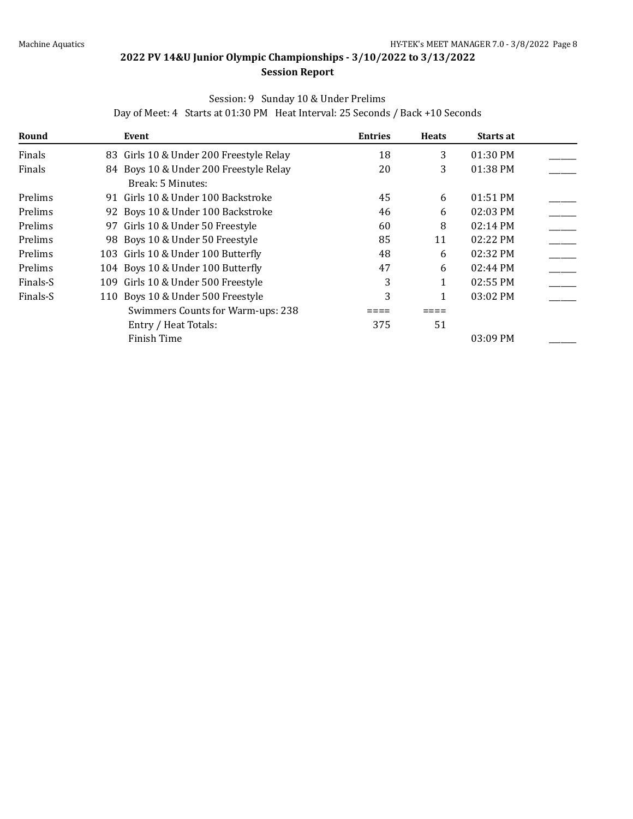## Session: 9 Sunday 10 & Under Prelims

Day of Meet: 4 Starts at 01:30 PM Heat Interval: 25 Seconds / Back +10 Seconds

| Round    | Event                                   | <b>Entries</b> | <b>Heats</b> | Starts at          |  |
|----------|-----------------------------------------|----------------|--------------|--------------------|--|
| Finals   | 83 Girls 10 & Under 200 Freestyle Relay | 18             | 3            | 01:30 PM           |  |
| Finals   | 84 Boys 10 & Under 200 Freestyle Relay  | 20             | 3            | 01:38 PM           |  |
|          | Break: 5 Minutes:                       |                |              |                    |  |
| Prelims  | 91 Girls 10 & Under 100 Backstroke      | 45             | 6            | 01:51 PM           |  |
| Prelims  | 92 Boys 10 & Under 100 Backstroke       | 46             | 6            | 02:03 PM           |  |
| Prelims  | 97 Girls 10 & Under 50 Freestyle        | 60             | 8            | 02:14 PM           |  |
| Prelims  | 98 Boys 10 & Under 50 Freestyle         | 85             | 11           | 02:22 PM           |  |
| Prelims  | 103 Girls 10 & Under 100 Butterfly      | 48             | 6            | 02:32 PM           |  |
| Prelims  | 104 Boys 10 & Under 100 Butterfly       | 47             | 6            | $02:44 \text{ PM}$ |  |
| Finals-S | 109 Girls 10 & Under 500 Freestyle      | 3              |              | 02:55 PM           |  |
| Finals-S | 110 Boys 10 & Under 500 Freestyle       | 3              |              | $03:02$ PM         |  |
|          | Swimmers Counts for Warm-ups: 238       |                |              |                    |  |
|          | Entry / Heat Totals:                    | 375            | 51           |                    |  |
|          | Finish Time                             |                |              | 03:09 PM           |  |